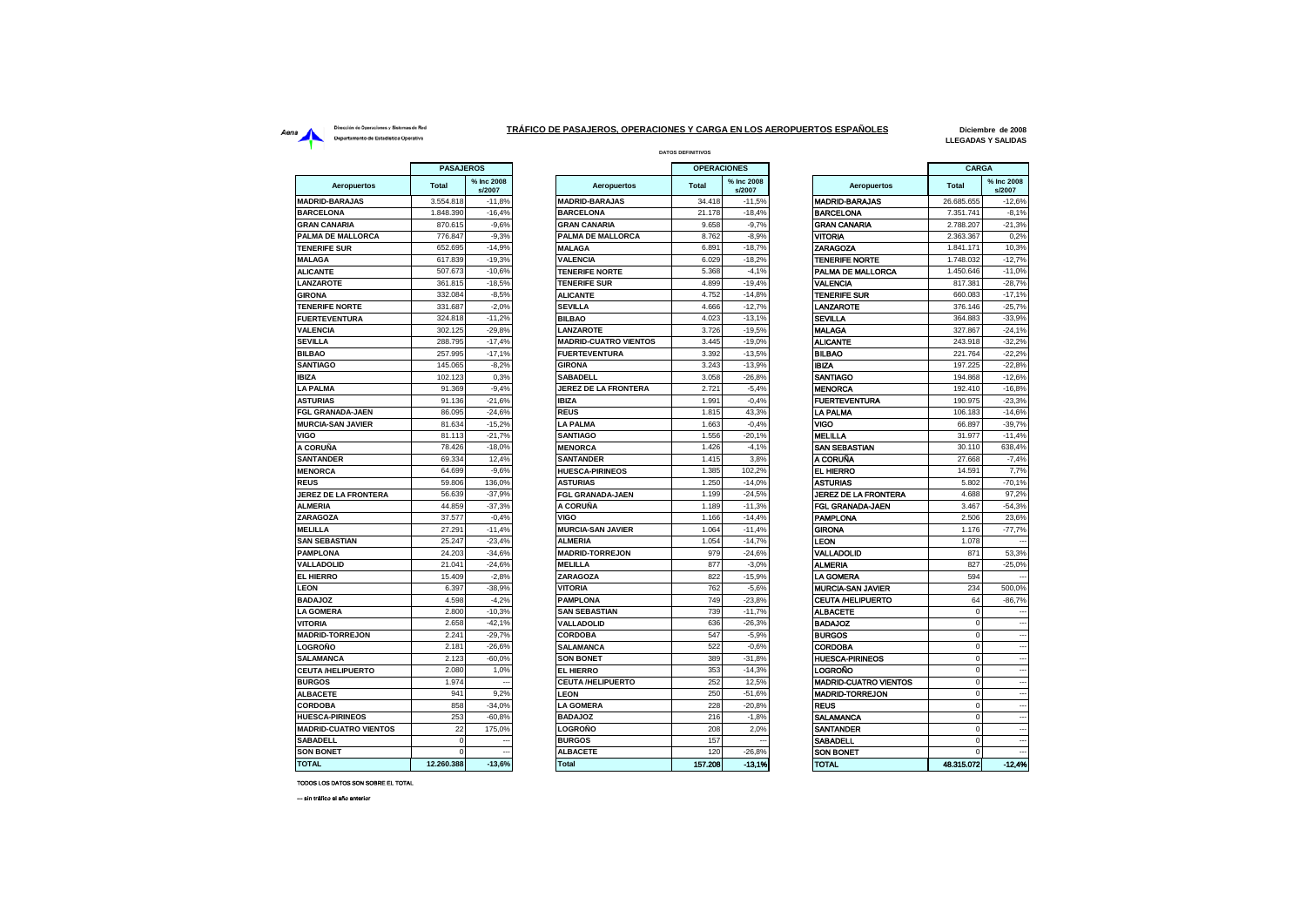## Dirección de Operaciones y Sistemas de Red Aerna<br>
Dirección de Operationes y Sistemas de Red<br>
Departamento de Estadística Operativa<br>
Departamento de Estadística Operativa

 $\blacksquare$ 

and the

## **DATOS DEFINITIVOS TRÁFICO DE PASAJEROS, OPERACIONES Y CARGA EN LOS AEROPUERTOS ESPAÑOLES**

**Diciembre de 2008 LLEGADAS Y SALIDAS**

|                              | <b>PASAJEROS</b> |                      |                              | <b>OPERACIONES</b> |                      |                              | <b>CARGA</b> |                          |
|------------------------------|------------------|----------------------|------------------------------|--------------------|----------------------|------------------------------|--------------|--------------------------|
| <b>Aeropuertos</b>           | <b>Total</b>     | % Inc 2008<br>s/2007 | Aeropuertos                  | <b>Total</b>       | % Inc 2008<br>s/2007 | Aeropuertos                  | <b>Total</b> | % Inc 2008<br>s/2007     |
| <b>MADRID-BARAJAS</b>        | 3.554.818        | $-11,8%$             | <b>MADRID-BARAJAS</b>        | 34.418             | $-11,5%$             | <b>MADRID-BARAJAS</b>        | 26.685.655   | $-12,6%$                 |
| <b>BARCELONA</b>             | 1.848.390        | $-16,4%$             | <b>BARCELONA</b>             | 21.178             | $-18,4%$             | <b>BARCELONA</b>             | 7.351.741    | $-8,1%$                  |
| <b>GRAN CANARIA</b>          | 870.615          | $-9,6%$              | <b>GRAN CANARIA</b>          | 9.658              | $-9,7%$              | <b>GRAN CANARIA</b>          | 2.788.207    | $-21,3%$                 |
| <b>PALMA DE MALLORCA</b>     | 776.847          | $-9,3%$              | <b>PALMA DE MALLORCA</b>     | 8.762              | $-8.9%$              | VITORIA                      | 2.363.367    | 0.2%                     |
| <b>TENERIFE SUR</b>          | 652.695          | $-14.9%$             | <b>MALAGA</b>                | 6.891              | $-18.7%$             | ZARAGOZA                     | 1.841.171    | 10.3%                    |
| <b>MALAGA</b>                | 617.839          | $-19,3%$             | <b>VALENCIA</b>              | 6.029              | $-18.2%$             | <b>TENERIFE NORTE</b>        | 1.748.032    | $-12,7%$                 |
| <b>ALICANTE</b>              | 507.673          | $-10,6%$             | <b>TENERIFE NORTE</b>        | 5.368              | $-4,1%$              | PALMA DE MALLORCA            | 1.450.646    | $-11,0%$                 |
| <b>LANZAROTE</b>             | 361.815          | $-18.5%$             | <b>TENERIFE SUR</b>          | 4.899              | $-19.4%$             | <b>VALENCIA</b>              | 817.381      | $-28.7%$                 |
| <b>GIRONA</b>                | 332.084          | $-8,5%$              | <b>ALICANTE</b>              | 4.752              | $-14,8%$             | <b>TENERIFE SUR</b>          | 660.083      | $-17,1%$                 |
| <b>TENERIFE NORTE</b>        | 331.687          | $-2,0%$              | <b>SEVILLA</b>               | 4.666              | $-12,7%$             | LANZAROTE                    | 376.146      | $-25,7%$                 |
| <b>FUERTEVENTURA</b>         | 324,818          | $-11.2%$             | <b>BILBAO</b>                | 4.023              | $-13.1%$             | <b>SEVILLA</b>               | 364,883      | $-33,9%$                 |
| <b>VALENCIA</b>              | 302.125          | $-29.8%$             | LANZAROTE                    | 3.726              | $-19.5%$             | <b>MALAGA</b>                | 327.867      | $-24.1%$                 |
| <b>SEVILLA</b>               | 288.795          | $-17,4%$             | <b>MADRID-CUATRO VIENTOS</b> | 3.445              | $-19,0%$             | <b>ALICANTE</b>              | 243.918      | $-32,2%$                 |
| <b>BILBAO</b>                | 257.995          | $-17.1%$             | <b>FUERTEVENTURA</b>         | 3.392              | $-13.5%$             | <b>BILBAO</b>                | 221.764      | $-22.2%$                 |
| <b>SANTIAGO</b>              | 145.065          | $-8,2%$              | <b>GIRONA</b>                | 3.243              | $-13,9%$             | <b>IBIZA</b>                 | 197.225      | $-22,8%$                 |
| IBIZA                        | 102.123          | 0,3%                 | SABADELL                     | 3.058              | $-26,8%$             | SANTIAGO                     | 194.868      | $-12,6%$                 |
| <b>LA PALMA</b>              | 91.369           | $-9.4%$              | <b>JEREZ DE LA FRONTERA</b>  | 2.721              | $-5,4%$              | <b>MENORCA</b>               | 192.410      | $-16,8%$                 |
| <b>ASTURIAS</b>              | 91.136           | $-21,6%$             | <b>IBIZA</b>                 | 1.991              | $-0.4%$              | <b>FUERTEVENTURA</b>         | 190.975      | $-23.3%$                 |
| FGL GRANADA-JAEN             | 86.095           | $-24.6%$             | <b>REUS</b>                  | 1.815              | 43.3%                | LA PALMA                     | 106.183      | $-14.6%$                 |
| <b>MURCIA-SAN JAVIER</b>     | 81.634           | $-15,2%$             | <b>LA PALMA</b>              | 1.663              | $-0.4%$              | VIGO                         | 66.897       | $-39,7%$                 |
| VIGO                         | 81.113           | $-21.7%$             | <b>SANTIAGO</b>              | 1.556              | $-20.1%$             | <b>MELILLA</b>               | 31.977       | $-11.4%$                 |
| A CORUÑA                     | 78.426           | $-18,0%$             | <b>MENORCA</b>               | 1.426              | $-4,1%$              | SAN SEBASTIAN                | 30.110       | 638,4%                   |
| <b>SANTANDER</b>             | 69.334           | 12.4%                | <b>SANTANDER</b>             | 1.415              | 3.8%                 | A CORUÑA                     | 27,668       | $-7,4%$                  |
| <b>MENORCA</b>               | 64.699           | $-9,6%$              | <b>HUESCA-PIRINEOS</b>       | 1.385              | 102,2%               | <b>EL HIERRO</b>             | 14.591       | 7,7%                     |
| <b>REUS</b>                  | 59,806           | 136,0%               | <b>ASTURIAS</b>              | 1.250              | $-14,0%$             | <b>ASTURIAS</b>              | 5.802        | $-70,1%$                 |
| <b>JEREZ DE LA FRONTERA</b>  | 56.639           | $-37,9%$             | <b>FGL GRANADA-JAEN</b>      | 1.199              | $-24,5%$             | <b>JEREZ DE LA FRONTERA</b>  | 4.688        | 97,2%                    |
| <b>ALMERIA</b>               | 44.859           | $-37,3%$             | A CORUÑA                     | 1.189              | $-11,3%$             | FGL GRANADA-JAEN             | 3.467        | $-54,3%$                 |
| ZARAGOZA                     | 37.577           | $-0.4%$              | VIGO                         | 1.166              | $-14.4%$             | <b>PAMPLONA</b>              | 2.506        | 23,6%                    |
| <b>MELILLA</b>               | 27.291           | $-11,4%$             | <b>MURCIA-SAN JAVIER</b>     | 1.064              | $-11,4%$             | <b>GIRONA</b>                | 1.176        | $-77,7%$                 |
| <b>SAN SEBASTIAN</b>         | 25.247           | $-23.4%$             | <b>ALMERIA</b>               | 1.054              | $-14.7%$             | LEON                         | 1.078        |                          |
| <b>PAMPLONA</b>              | 24.203           | $-34,6%$             | <b>MADRID-TORREJON</b>       | 979                | $-24,6%$             | VALLADOLID                   | 871          | 53,3%                    |
| <b>VALLADOLID</b>            | 21.041           | $-24.6%$             | <b>MELILLA</b>               | 877                | $-3.0%$              | <b>ALMERIA</b>               | 827          | $-25,0%$                 |
| EL HIERRO                    | 15.409           | $-2,8%$              | ZARAGOZA                     | 822                | $-15,9%$             | <b>LA GOMERA</b>             | 594          |                          |
| <b>LEON</b>                  | 6.397            | $-38,9%$             | <b>VITORIA</b>               | 762                | $-5,6%$              | <b>MURCIA-SAN JAVIER</b>     | 234          | 500,0%                   |
| <b>BADAJOZ</b>               | 4.598            | $-4,2%$              | <b>PAMPLONA</b>              | 749                | $-23,8%$             | <b>CEUTA /HELIPUERTO</b>     | 64           | $-86,7%$                 |
| <b>LA GOMERA</b>             | 2,800            | $-10.3%$             | <b>SAN SEBASTIAN</b>         | 739                | $-11.7%$             | <b>ALBACETE</b>              | $\Omega$     |                          |
| VITORIA                      | 2.658            | $-42,1%$             | <b>VALLADOLID</b>            | 636                | $-26,3%$             | <b>BADAJOZ</b>               | $\mathbf 0$  |                          |
| <b>MADRID-TORREJON</b>       | 2.241            | $-29.7%$             | <b>CORDOBA</b>               | 547                | $-5.9%$              | <b>BURGOS</b>                | $\mathbf 0$  |                          |
| LOGROÑO                      | 2.181            | $-26,6%$             | <b>SALAMANCA</b>             | 522                | $-0.6%$              | <b>CORDOBA</b>               | $\mathbf 0$  |                          |
| <b>SALAMANCA</b>             | 2.123            | $-60,0%$             | <b>SON BONET</b>             | 389                | $-31,8%$             | <b>HUESCA-PIRINEOS</b>       | $\mathbf 0$  | $\overline{\phantom{a}}$ |
| <b>CEUTA/HELIPUERTO</b>      | 2.080            | 1,0%                 | <b>EL HIERRO</b>             | 353                | $-14,3%$             | LOGROÑO                      | $\mathbf 0$  |                          |
| <b>BURGOS</b>                | 1.974            |                      | <b>CEUTA /HELIPUERTO</b>     | 252                | 12.5%                | <b>MADRID-CUATRO VIENTOS</b> | $\Omega$     |                          |
| <b>ALBACETE</b>              | 941              | 9.2%                 | <b>LEON</b>                  | 250                | $-51.6%$             | <b>MADRID-TORREJON</b>       | $\Omega$     |                          |
| <b>CORDOBA</b>               | 858              | $-34,0%$             | <b>LA GOMERA</b>             | 228                | $-20,8%$             | <b>REUS</b>                  | $\mathbf 0$  | $\overline{\phantom{a}}$ |
| <b>HUESCA-PIRINEOS</b>       | 253              | $-60.8%$             | <b>BADAJOZ</b>               | 216                | $-1.8%$              | SALAMANCA                    |              | --                       |
| <b>MADRID-CUATRO VIENTOS</b> | 22               | 175,0%               | LOGROÑO                      | 208                | 2,0%                 | <b>SANTANDER</b>             |              |                          |
| SABADELL                     | $\mathbf 0$      |                      | <b>BURGOS</b>                | 157                |                      | SABADELL                     | $\Omega$     |                          |
| <b>SON BONET</b>             | $\Omega$         |                      | <b>ALBACETE</b>              | 120                | $-26,8%$             | <b>SON BONET</b>             | $\Omega$     |                          |
| <b>TOTAL</b>                 | 12.260.299       | $-12.69$             | Total                        | 157.908            | 19.1%                | TOTAL                        | 48.345.072   | $-12.49$                 |

| <b>PASAJEROS</b> |                      |                              | <b>OPERACIONES</b> |                      |                              | <b>CARGA</b>   |                          |
|------------------|----------------------|------------------------------|--------------------|----------------------|------------------------------|----------------|--------------------------|
| <b>Total</b>     | % Inc 2008<br>s/2007 | Aeropuertos                  | <b>Total</b>       | % Inc 2008<br>s/2007 | Aeropuertos                  | <b>Total</b>   | % Inc 2008<br>s/2007     |
| 3.554.818        | $-11.8%$             | <b>MADRID-BARAJAS</b>        | 34.418             | $-11,5%$             | <b>MADRID-BARAJAS</b>        | 26.685.655     | $-12,6%$                 |
| 1.848.390        | $-16,4%$             | <b>BARCELONA</b>             | 21.178             | $-18,4%$             | <b>BARCELONA</b>             | 7.351.741      | $-8,1%$                  |
| 870.615          | $-9.6%$              | <b>GRAN CANARIA</b>          | 9.658              | $-9.7%$              | <b>GRAN CANARIA</b>          | 2.788.207      | $-21.3%$                 |
| 776.847          | $-9,3%$              | PALMA DE MALLORCA            | 8.762              | $-8,9%$              | <b>VITORIA</b>               | 2.363.367      | 0,2%                     |
| 652.695          | $-14,9%$             | <b>MALAGA</b>                | 6.891              | $-18,7%$             | <b>ZARAGOZA</b>              | 1.841.171      | 10,3%                    |
| 617.839          | $-19.3%$             | <b>VALENCIA</b>              | 6.029              | $-18.2%$             | <b>TENERIFE NORTE</b>        | 1.748.032      | $-12.7%$                 |
| 507.673          | $-10.6%$             | <b>TENERIFE NORTE</b>        | 5.368              | $-4.1%$              | PALMA DE MALLORCA            | 1.450.646      | $-11.0%$                 |
| 361.815          | $-18.5%$             | <b>TENERIFE SUR</b>          | 4.899              | $-19.4%$             | <b>VALENCIA</b>              | 817.381        | $-28.7%$                 |
| 332.084          | $-8,5%$              | <b>ALICANTE</b>              | 4.752              | $-14,8%$             | <b>TENERIFE SUR</b>          | 660.083        | $-17,1%$                 |
| 331.687          | $-2.0%$              | <b>SEVILLA</b>               | 4.666              | $-12,7%$             | LANZAROTE                    | 376.146        | $-25,7%$                 |
| 324.818          | $-11,2%$             | <b>BILBAO</b>                | 4.023              | $-13,1%$             | <b>SEVILLA</b>               | 364.883        | $-33,9%$                 |
| 302.125          | $-29.8%$             | <b>LANZAROTE</b>             | 3.726              | $-19.5%$             | <b>MALAGA</b>                | 327.867        | $-24.1%$                 |
| 288.795          | $-17,4%$             | <b>MADRID-CUATRO VIENTOS</b> | 3.445              | $-19.0%$             | <b>ALICANTE</b>              | 243.918        | $-32.2%$                 |
| 257.995          | $-17,1%$             | <b>FUERTEVENTURA</b>         | 3.392              | $-13,5%$             | <b>BILBAO</b>                | 221.764        | $-22.2%$                 |
| 145.065          | $-8,2%$              | <b>GIRONA</b>                | 3.243              | $-13,9%$             | <b>IBIZA</b>                 | 197.225        | $-22.8%$                 |
| 102.123          | 0.3%                 | <b>SABADELL</b>              | 3.058              | $-26,8%$             | <b>SANTIAGO</b>              | 194.868        | $-12,6%$                 |
| 91.369           | $-9,4%$              | <b>JEREZ DE LA FRONTERA</b>  | 2.721              | $-5,4%$              | <b>MENORCA</b>               | 192.410        | $-16,8%$                 |
| 91.136           | $-21,6%$             | <b>IBIZA</b>                 | 1.991              | $-0.4%$              | <b>FUERTEVENTURA</b>         | 190.975        | $-23.3%$                 |
| 86.095           | $-24.6%$             | <b>REUS</b>                  | 1.815              | 43.3%                | <b>LA PALMA</b>              | 106.183        | $-14.6%$                 |
| 81.634           | $-15,2%$             | <b>LA PALMA</b>              | 1.663              | $-0.4%$              | VIGO                         | 66.897         | $-39,7%$                 |
| 81.113           | $-21,7%$             | <b>SANTIAGO</b>              | 1.556              | $-20,1%$             | <b>MELILLA</b>               | 31.977         | $-11,4%$                 |
| 78.426           | $-18.0%$             | <b>MENORCA</b>               | 1.426              | $-4,1%$              | <b>SAN SEBASTIAN</b>         | 30.110         | 638,4%                   |
| 69.334           | 12.4%                | <b>SANTANDER</b>             | 1.415              | 3.8%                 | A CORUÑA                     | 27,668         | $-7.4%$                  |
| 64.699           | $-9.6%$              | <b>HUESCA-PIRINEOS</b>       | 1.385              | 102.2%               | <b>EL HIERRO</b>             | 14.591         | 7.7%                     |
| 59.806           | 136,0%               | <b>ASTURIAS</b>              | 1.250              | $-14,0%$             | <b>ASTURIAS</b>              | 5.802          | $-70,1%$                 |
| 56.639           | $-37,9%$             | FGL GRANADA-JAEN             | 1.199              | $-24,5%$             | <b>JEREZ DE LA FRONTERA</b>  | 4.688          | 97,2%                    |
| 44.859           | $-37,3%$             | A CORUÑA                     | 1.189              | $-11,3%$             | <b>FGL GRANADA-JAEN</b>      | 3.467          | $-54.3%$                 |
| 37.577           | $-0.4%$              | VIGO                         | 1.166              | $-14.4%$             | <b>PAMPLONA</b>              | 2.506          | 23,6%                    |
| 27.291           | $-11,4%$             | <b>MURCIA-SAN JAVIER</b>     | 1.064              | $-11,4%$             | <b>GIRONA</b>                | 1.176          | $-77,7%$                 |
| 25.247           | $-23,4%$             | <b>ALMERIA</b>               | 1.054              | $-14,7%$             | LEON                         | 1.078          |                          |
| 24.203           | $-34,6%$             | <b>MADRID-TORREJON</b>       | 979                | $-24,6%$             | VALLADOLID                   | 871            | 53,3%                    |
| 21.041           | $-24,6%$             | <b>MELILLA</b>               | 877                | $-3,0%$              | <b>ALMERIA</b>               | 827            | $-25,0%$                 |
| 15.409           | $-2.8%$              | ZARAGOZA                     | 822                | $-15,9%$             | <b>LA GOMERA</b>             | 594            |                          |
| 6.397            | $-38.9%$             | <b>VITORIA</b>               | 762                | $-5,6%$              | <b>MURCIA-SAN JAVIER</b>     | 234            | 500.0%                   |
| 4.598            | $-4.2%$              | <b>PAMPLONA</b>              | 749                | $-23.8%$             | <b>CEUTA /HELIPUERTO</b>     | 64             | $-86.7%$                 |
| 2.800            | $-10,3%$             | <b>SAN SEBASTIAN</b>         | 739                | $-11,7%$             | <b>ALBACETE</b>              | $\mathbf 0$    |                          |
| 2.658            | $-42.1%$             | <b>VALLADOLID</b>            | 636                | $-26.3%$             | <b>BADAJOZ</b>               | $\mathbf 0$    | ÷,                       |
| 2.241            | $-29.7%$             | <b>CORDOBA</b>               | 547                | $-5,9%$              | <b>BURGOS</b>                | $\Omega$       |                          |
| 2.181            | $-26.6%$             | <b>SALAMANCA</b>             | 522                | $-0.6%$              | CORDOBA                      | $\Omega$       |                          |
| 2.123            | $-60.0%$             | <b>SON BONET</b>             | 389                | $-31.8%$             | <b>HUESCA-PIRINEOS</b>       | $\mathbf 0$    | ÷                        |
| 2.080            | 1,0%                 | <b>EL HIERRO</b>             | 353                | $-14,3%$             | <b>LOGRONO</b>               | $\mathbf 0$    | $\overline{\phantom{a}}$ |
| 1.974            |                      | <b>CEUTA /HELIPUERTO</b>     | 252                | 12.5%                | <b>MADRID-CUATRO VIENTOS</b> | $\mathbf 0$    |                          |
| 941              | 9,2%                 | <b>LEON</b>                  | 250                | $-51,6%$             | <b>MADRID-TORREJON</b>       | $\mathbf 0$    |                          |
| 858              | $-34.0%$             | <b>LA GOMERA</b>             | 228                | $-20.8%$             | <b>REUS</b>                  | $\mathbf 0$    | $\sim$                   |
| 253              | $-60.8%$             | <b>BADAJOZ</b>               | 216                | $-1,8%$              | SALAMANCA                    | $\mathbf 0$    | $\overline{\phantom{a}}$ |
| 22               | 175.0%               | LOGROÑO                      | 208                | 2.0%                 | <b>SANTANDER</b>             | $\mathbf 0$    | $\overline{\phantom{a}}$ |
| $\mathbf 0$      |                      | <b>BURGOS</b>                | 157                |                      | SABADELL                     | $\overline{0}$ |                          |
| 0                |                      | <b>ALBACETE</b>              | 120                | $-26,8%$             | <b>SON BONET</b>             | $\mathbf 0$    |                          |
| 12.260.388       | $-13,6%$             | <b>Total</b>                 | 157.208            | $-13,1%$             | <b>TOTAL</b>                 | 48.315.072     | $-12.4%$                 |

|                              |              | CARGA                |  |  |
|------------------------------|--------------|----------------------|--|--|
| Aeropuertos                  | <b>Total</b> | % Inc 2008<br>s/2007 |  |  |
| <b>MADRID-BARAJAS</b>        | 26.685.655   | $-12,6%$             |  |  |
| <b>BARCELONA</b>             | 7.351.741    | $-8,1%$              |  |  |
| <b>GRAN CANARIA</b>          | 2.788.207    | $-21,3%$             |  |  |
| VITORIA                      | 2.363.367    | 0,2%                 |  |  |
| <b>ZARAGOZA</b>              | 1.841.171    | 10,3%                |  |  |
| <b>TENERIFE NORTE</b>        | 1.748.032    | $-12,7%$             |  |  |
| PALMA DE MALLORCA            | 1.450.646    | $-11,0%$             |  |  |
| VALENCIA                     | 817.381      | $-28,7%$             |  |  |
| <b>TENERIFE SUR</b>          | 660.083      | $-17,1%$             |  |  |
| LANZAROTE                    | 376.146      | $-25,7%$             |  |  |
| <b>SEVILLA</b>               | 364.883      | $-33,9%$             |  |  |
| <b>MALAGA</b>                | 327.867      | $-24,1%$             |  |  |
| <b>ALICANTE</b>              | 243.918      | $-32,2%$             |  |  |
| <b>BILBAO</b>                | 221.764      | $-22,2%$             |  |  |
| IBIZA                        | 197.225      | $-22,8%$             |  |  |
| <b>SANTIAGO</b>              | 194.868      | $-12,6%$             |  |  |
| <b>MENORCA</b>               | 192.410      | $-16,8%$             |  |  |
| <b>FUERTEVENTURA</b>         | 190.975      | $-23,3%$             |  |  |
| <b>LA PALMA</b>              | 106.183      | $-14,6%$             |  |  |
| VIGO                         | 66.897       | $-39,7%$             |  |  |
| MELILLA                      | 31.977       | $-11,4%$             |  |  |
| SAN SEBASTIAN                | 30.110       | 638,4%               |  |  |
| A CORUÑA                     | 27.668       | $-7,4%$              |  |  |
| EL HIERRO                    | 14.591       | 7,7%                 |  |  |
| ASTURIAS                     | 5.802        | $-70,1%$             |  |  |
| JEREZ DE LA FRONTERA         | 4.688        | 97,2%                |  |  |
| FGL GRANADA-JAEN             | 3.467        | $-54,3%$             |  |  |
| <b>PAMPLONA</b>              | 2.506        | 23,6%                |  |  |
| <b>GIRONA</b>                | 1.176        | $-77,7%$             |  |  |
| LEON                         | 1.078        |                      |  |  |
| VALLADOLID                   | 871          | 53,3%                |  |  |
| <b>ALMERIA</b>               | 827          | $-25,0%$             |  |  |
| LA GOMERA                    | 594          |                      |  |  |
| <b>MURCIA-SAN JAVIER</b>     | 234          | 500,0%               |  |  |
| <b>CEUTA /HELIPUERTO</b>     | 64           | $-86,7%$             |  |  |
| <b>ALBACETE</b>              | 0            |                      |  |  |
| <b>BADAJOZ</b>               | $\mathbf 0$  |                      |  |  |
| <b>BURGOS</b>                | 0            |                      |  |  |
| <b>CORDOBA</b>               | $\mathbf 0$  |                      |  |  |
| <b>HUESCA-PIRINEOS</b>       | 0            |                      |  |  |
| LOGROÑO                      | 0            |                      |  |  |
| <b>MADRID-CUATRO VIENTOS</b> | 0            |                      |  |  |
| <b>MADRID-TORREJON</b>       | 0            |                      |  |  |
| <b>REUS</b>                  | 0            |                      |  |  |
| SALAMANCA                    | 0            |                      |  |  |
| SANTANDER                    | 0            |                      |  |  |
| SABADELL                     | 0            |                      |  |  |
| <b>SON BONET</b>             | $\mathbf 0$  |                      |  |  |
|                              |              |                      |  |  |

## TODOS LOS DATOS SON SOBRE EL TOTAL

--- sin tráfico el año anterior